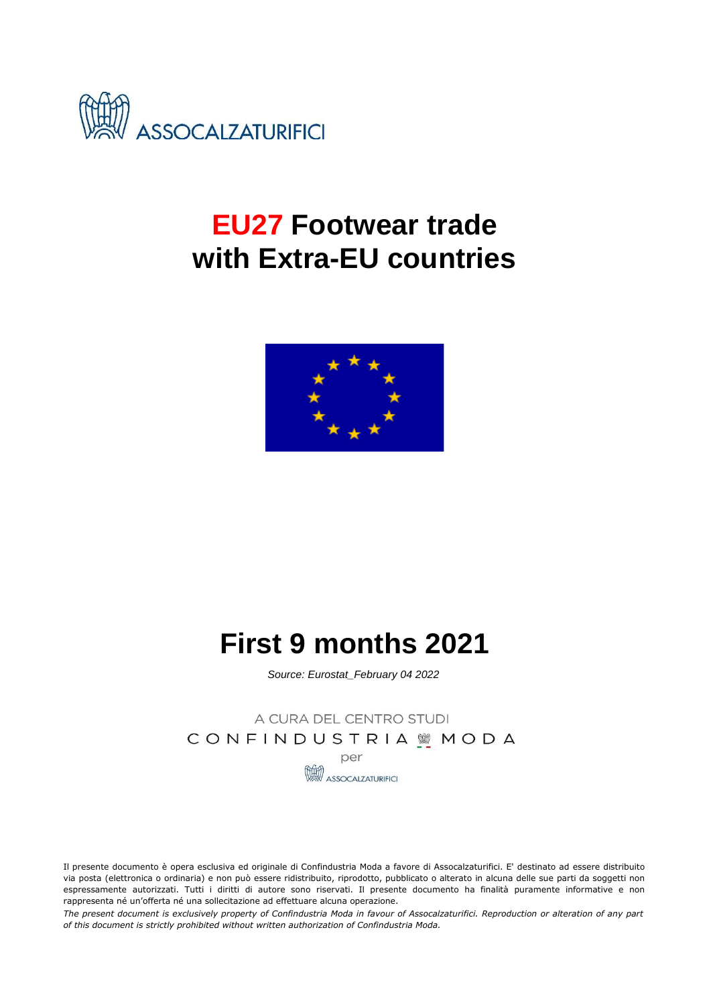

# **EU27 Footwear trade with Extra-EU countries**



# **First 9 months 2021**

*Source: Eurostat\_February 04 2022*

A CURA DEL CENTRO STUDI CONFINDUSTRIA WMODA

per

**ASSOCALZATURIFICI** 

Il presente documento è opera esclusiva ed originale di Confindustria Moda a favore di Assocalzaturifici. E' destinato ad essere distribuito via posta (elettronica o ordinaria) e non può essere ridistribuito, riprodotto, pubblicato o alterato in alcuna delle sue parti da soggetti non espressamente autorizzati. Tutti i diritti di autore sono riservati. Il presente documento ha finalità puramente informative e non rappresenta né un'offerta né una sollecitazione ad effettuare alcuna operazione.

The present document is exclusively property of Confindustria Moda in favour of Assocalzaturifici. Reproduction or alteration of any part *of this document is strictly prohibited without written authorization of Confindustria Moda.*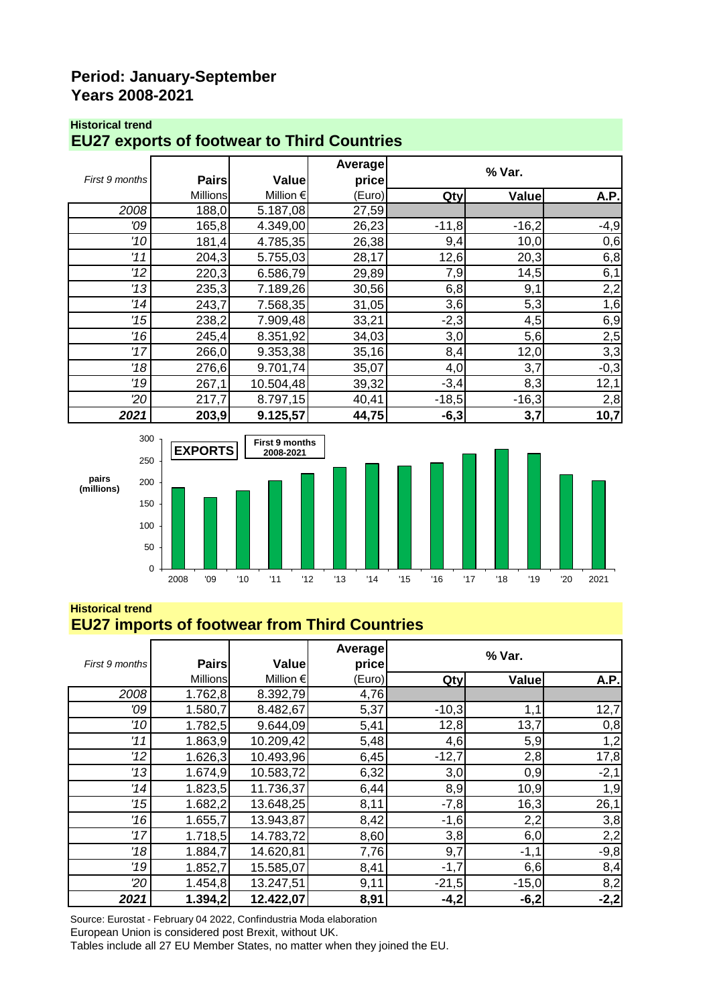#### **Period: January-September Years 2008-2021**

#### **Historical trend**

#### **EU27 exports of footwear to Third Countries**

|                |                 |               | Average |         | % Var.       |             |
|----------------|-----------------|---------------|---------|---------|--------------|-------------|
| First 9 months | <b>Pairs</b>    | Value         | price   |         |              |             |
|                | <b>Millions</b> | Million $\in$ | (Euro)  | Qty     | <b>Value</b> | <b>A.P.</b> |
| 2008           | 188,0           | 5.187,08      | 27,59   |         |              |             |
| '09            | 165, 8          | 4.349,00      | 26,23   | $-11,8$ | $-16,2$      | $-4,9$      |
| '10            | 181,4           | 4.785,35      | 26,38   | 9,4     | 10,0         | 0,6         |
| '11            | 204,3           | 5.755,03      | 28,17   | 12,6    | 20,3         | 6,8         |
| 12             | 220,3           | 6.586,79      | 29,89   | 7,9     | 14,5         | 6,1         |
| 13             | 235,3           | 7.189,26      | 30,56   | 6,8     | 9,1          | 2,2         |
| '14            | 243,7           | 7.568,35      | 31,05   | 3,6     | 5,3          | 1,6         |
| 115            | 238,2           | 7.909,48      | 33,21   | $-2,3$  | 4,5          | 6,9         |
| '16            | 245,4           | 8.351,92      | 34,03   | 3,0     | 5,6          | 2,5         |
| 17             | 266,0           | 9.353,38      | 35,16   | 8,4     | 12,0         | 3,3         |
| 18             | 276,6           | 9.701,74      | 35,07   | 4,0     | 3,7          | $-0,3$      |
| '19            | 267,1           | 10.504,48     | 39,32   | $-3,4$  | 8,3          | 12,1        |
| 20             | 217,7           | 8.797,15      | 40,41   | $-18,5$ | $-16,3$      | 2,8         |
| 2021           | 203,9           | 9.125,57      | 44,75   | $-6,3$  | 3,7          | 10,7        |



#### **Historical trend EU27 imports of footwear from Third Countries**

| First 9 months | <b>Pairs</b>    | Value              | Average<br>price |         | % Var.  |        |  |  |  |
|----------------|-----------------|--------------------|------------------|---------|---------|--------|--|--|--|
|                | <b>Millions</b> | Million $\epsilon$ | (Euro)           | Qty     | Value   | A.P.   |  |  |  |
| 2008           | 1.762,8         | 8.392,79           | 4,76             |         |         |        |  |  |  |
| '09            | 1.580,7         | 8.482,67           | 5,37             | $-10,3$ | 1,1     | 12,7   |  |  |  |
| '10            | 1.782,5         | 9.644,09           | 5,41             | 12,8    | 13,7    | 0,8    |  |  |  |
| '11            | 1.863,9         | 10.209,42          | 5,48             | 4,6     | 5,9     | 1,2    |  |  |  |
| '12            | 1.626,3         | 10.493,96          | 6,45             | $-12,7$ | 2,8     | 17,8   |  |  |  |
| 13             | 1.674,9         | 10.583,72          | 6,32             | 3,0     | 0,9     | $-2,1$ |  |  |  |
| '14            | 1.823,5         | 11.736,37          | 6,44             | 8,9     | 10,9    | 1,9    |  |  |  |
| '15            | 1.682,2         | 13.648,25          | 8,11             | $-7,8$  | 16,3    | 26,1   |  |  |  |
| '16            | 1.655,7         | 13.943,87          | 8,42             | $-1,6$  | 2,2     | 3,8    |  |  |  |
| 17             | 1.718,5         | 14.783,72          | 8,60             | 3,8     | 6,0     | 2,2    |  |  |  |
| '18            | 1.884,7         | 14.620,81          | 7,76             | 9,7     | $-1,1$  | $-9,8$ |  |  |  |
| '19            | 1.852,7         | 15.585,07          | 8,41             | $-1,7$  | 6,6     | 8,4    |  |  |  |
| 20             | 1.454,8         | 13.247,51          | 9,11             | $-21,5$ | $-15,0$ | 8,2    |  |  |  |
| 2021           | 1.394,2         | 12.422,07          | 8,91             | $-4,2$  | $-6,2$  | $-2,2$ |  |  |  |

Source: Eurostat - February 04 2022, Confindustria Moda elaboration

European Union is considered post Brexit, without UK.

Tables include all 27 EU Member States, no matter when they joined the EU.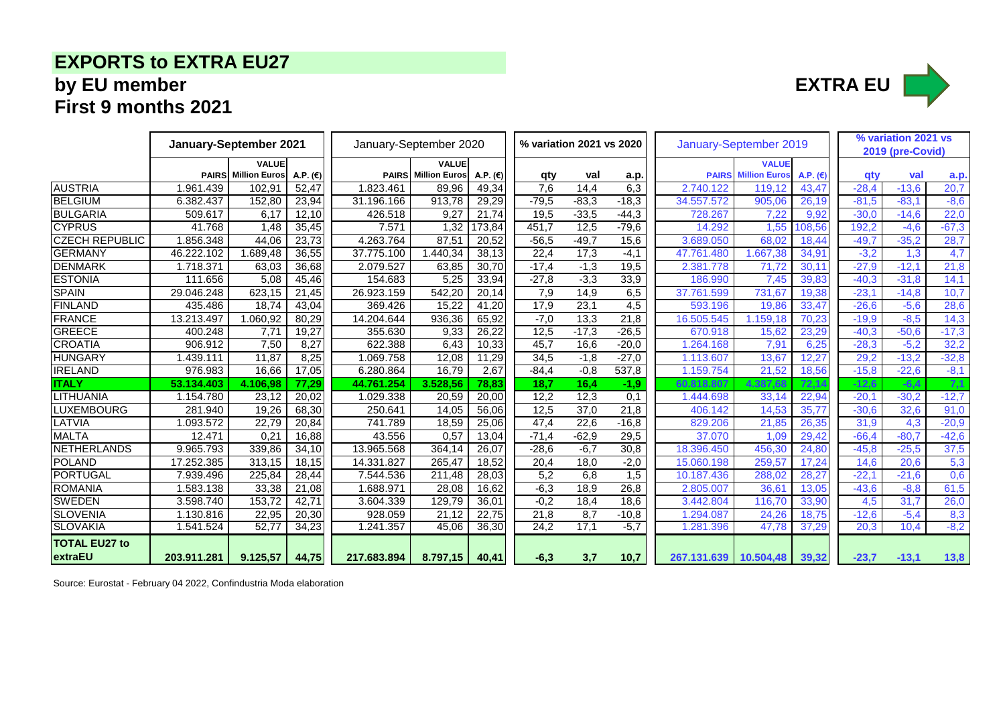## **EXPORTS to EXTRA EU27 by EU member EXTRA EU First 9 months 2021**



|                                 |             | January-September 2021     |                   |             | January-September 2020     |                   |                  | % variation 2021 vs 2020 |                  |                       | January-September 2019 |            |         |                  | % variation 2021 vs |
|---------------------------------|-------------|----------------------------|-------------------|-------------|----------------------------|-------------------|------------------|--------------------------|------------------|-----------------------|------------------------|------------|---------|------------------|---------------------|
|                                 |             | <b>VALUE</b>               |                   |             | <b>VALUE</b>               |                   |                  |                          |                  |                       | <b>VALUE</b>           |            |         | 2019 (pre-Covid) |                     |
|                                 |             | <b>PAIRS</b> Million Euros | A.P. $(\epsilon)$ |             | <b>PAIRS</b> Million Euros | A.P. $(\epsilon)$ | qty              | val                      | a.p.             | <b>PAIRS</b>          | <b>Million Euros</b>   | A.P. $(E)$ | aty     | val              | a.p.                |
| <b>AUSTRIA</b>                  | 1.961.439   | 102.91                     | 52,47             | 1.823.461   | 89,96                      | 49,34             | 7.6              | 14.4                     | 6,3              | 2.740.122             | 119,12                 | 43,47      | $-28.4$ | $-13,6$          | 20,7                |
| <b>BELGIUM</b>                  | 6.382.437   | 152,80                     | 23,94             | 31.196.166  | 913.78                     | 29,29             | $-79,5$          | $-83.3$                  | $-18,3$          | 34.557.572            | 905.06                 | 26.19      | $-81.5$ | $-83.1$          | $-8,6$              |
| <b>BULGARIA</b>                 | 509.617     | 6.17                       | 12,10             | 426.518     | 9,27                       | 21,74             | 19,5             | $-33.5$                  | $-44,3$          | 728.267               | 7.22                   | 9.92       | $-30.0$ | $-14.6$          | 22,0                |
| <b>CYPRUS</b>                   | 41.768      | 1.48                       | 35,45             | 7.571       | 1,32                       | 173,84            | 451.7            | 12,5                     | $-79,6$          | 14.292                | 1.55                   | 108.56     | 192.2   | $-4.6$           | $-67,3$             |
| <b>CZECH REPUBLIC</b>           | 1.856.348   | 44.06                      | 23,73             | 4.263.764   | 87,51                      | 20,52             | $-56,5$          | $-49.7$                  | 15,6             | 3.689.050             | 68.02                  | 18,44      | $-49,7$ | $-35,2$          | 28,7                |
| <b>GERMANY</b>                  | 46.222.102  | 1.689.48                   | 36,55             | 37.775.100  | 1.440.34                   | 38,13             | 22,4             | 17.3                     | $-4.1$           | 47.761.480            | .667,38                | 34,91      | $-3,2$  | 1,3              | 4,7                 |
| <b>DENMARK</b>                  | 1.718.371   | 63,03                      | 36,68             | 2.079.527   | 63,85                      | 30,70             | $-17,4$          | $-1,3$                   | 19,5             | 2.381.778             | 71.72                  | 30,11      | $-27,9$ | $-12.1$          | 21,8                |
| <b>ESTONIA</b>                  | 111.656     | 5.08                       | 45,46             | 154.683     | 5.25                       | 33,94             | $-27,8$          | $-3,3$                   | 33,9             | 186.990               | 7.45                   | 39.83      | $-40.3$ | $-31,8$          | 14,1                |
| <b>SPAIN</b>                    | 29.046.248  | 623,15                     | 21,45             | 26.923.159  | $\overline{542,20}$        | 20,14             | 7,9              | 14,9                     | 6,5              | 37.761.599            | 731,67                 | 19,38      | $-23,1$ | $-14,8$          | 10,7                |
| <b>FINLAND</b>                  | 435.486     | 18,74                      | 43,04             | 369.426     | 15,22                      | 41,20             | 17,9             | 23,1                     | 4,5              | 593.196               | 19,86                  | 33,47      | $-26,6$ | $-5,6$           | 28,6                |
| <b>FRANCE</b>                   | 13.213.497  | 1.060,92                   | 80,29             | 14.204.644  | 936,36                     | 65,92             | $-7,0$           | 13,3                     | 21,8             | 16.505.545            | 159,18                 | 70,23      | $-19,9$ | $-8,5$           | 14,3                |
| <b>GREECE</b>                   | 400.248     | 7,71                       | 19,27             | 355.630     | 9,33                       | 26,22             | 12,5             | $-17.3$                  | $-26,5$          | 670.918               | 15,62                  | 23,29      | $-40,3$ | $-50,6$          | $-17,3$             |
| <b>CROATIA</b>                  | 906.912     | 7,50                       | 8,27              | 622.388     | 6,43                       | 10,33             | 45,7             | 16,6                     | $-20,0$          | .264.168              | 7,91                   | 6,25       | $-28,3$ | $-5,2$           | 32,2                |
| <b>HUNGARY</b>                  | .439.111    | 11.87                      | 8.25              | .069.758    | 12,08                      | 11,29             | 34,5             | $-1,8$                   | $-27,0$          | 1.113.607             | 13.67                  | 12,27      | 29,2    | $-13,2$          | $-32,8$             |
| <b>IRELAND</b>                  | 976.983     | 16,66                      | 17,05             | 6.280.864   | 16,79                      | 2,67              | $-84,4$          | $-0,8$                   | 537,8            | 1.159.754             | 21,52                  | 18,56      | $-15,8$ | $-22,6$          | $-8,1$              |
| <b>ITALY</b>                    | 53.134.403  | 4.106,98                   | 77,29             | 44.761.254  | 3.528,56                   | 78,83             | 18,7             | 16.4                     | $-1,9$           | 60,818,807            | 4.387.68               | 72,14      | $-12.6$ | $-6.4$           | 7,1                 |
| LITHUANIA                       | 1.154.780   | 23,12                      | 20,02             | 1.029.338   | 20,59                      | 20,00             | 12,2             | 12,3                     | 0,1              | 1.444.698             | 33,14                  | 22,94      | $-20,1$ | $-30,2$          | $-12,7$             |
| <b>LUXEMBOURG</b>               | 281.940     | 19,26                      | 68,30             | 250.641     | 14,05                      | 56,06             | 12,5             | 37,0                     | 21,8             | 406.142               | 14,53                  | 35,77      | $-30,6$ | 32,6             | 91,0                |
| LATVIA                          | 1.093.572   | 22,79                      | 20,84             | 741.789     | 18,59                      | 25,06             | 47,4             | 22,6                     | $-16,8$          | 829,206               | 21,85                  | 26,35      | 31,9    | 4,3              | $-20,9$             |
| <b>MALTA</b>                    | 12.471      | 0.21                       | 16,88             | 43.556      | 0,57                       | 13,04             | $-71,4$          | $-62.9$                  | 29,5             | 37.070                | 1,09                   | 29,42      | $-66.4$ | $-80.7$          | $-42,6$             |
| <b>NETHERLANDS</b>              | 9.965.793   | 339,86                     | 34,10             | 13.965.568  | 364.14                     | 26,07             | $-28,6$          | $-6.7$                   | 30,8             | 18.396.450            | 456,30                 | 24,80      | $-45.8$ | $-25,5$          | 37,5                |
| <b>POLAND</b>                   | 17.252.385  | 313.15                     | 18,15             | 14.331.827  | 265.47                     | 18,52             | 20,4             | 18.0                     | $-2,0$           | 15.060.198            | 259,57                 | 17.24      | 14,6    | 20.6             | 5,3                 |
| PORTUGAL                        | 7.939.496   | 225,84                     | 28,44             | 7.544.536   | 211,48                     | 28,03             | $\overline{5,2}$ | 6,8                      | $\overline{1,5}$ | 10.187.436            | 288,02                 | 28,27      | $-22.1$ | $-21,6$          | 0,6                 |
| <b>ROMANIA</b>                  | 1.583.138   | 33.38                      | 21,08             | 1.688.971   | 28.08                      | 16,62             | $-6,3$           | 18.9                     | 26.8             | 2.805.007             | 36.61                  | 13,05      | $-43,6$ | $-8,8$           | 61,5                |
| <b>SWEDEN</b>                   | 3.598.740   | 153.72                     | 42,71             | 3.604.339   | 129,79                     | 36,01             | $-0,2$           | 18,4                     | 18.6             | 3.442.804             | 116.70                 | 33.90      | 4,5     | 31.7             | 26,0                |
| <b>SLOVENIA</b>                 | 1.130.816   | 22,95                      | 20,30             | 928.059     | 21,12                      | 22,75             | 21,8             | 8,7                      | $-10,8$          | .294.087              | 24,26                  | 18,75      | $-12,6$ | $-5,4$           | 8,3                 |
| <b>SLOVAKIA</b>                 | 1.541.524   | 52,77                      | 34,23             | .241.357    | 45,06                      | 36,30             | 24,2             | 17.1                     | $-5,7$           | 1.281.396             | 47,78                  | 37,29      | 20.3    | 10.4             | $-8,2$              |
| <b>TOTAL EU27 to</b><br>extraEU | 203.911.281 | 9.125,57                   | 44,75             | 217.683.894 | 8.797,15                   | 40,41             | $-6.3$           | 3,7                      | 10,7             | 267.131.639 10.504,48 |                        | 39,32      | $-23,7$ | $-13,1$          | 13,8                |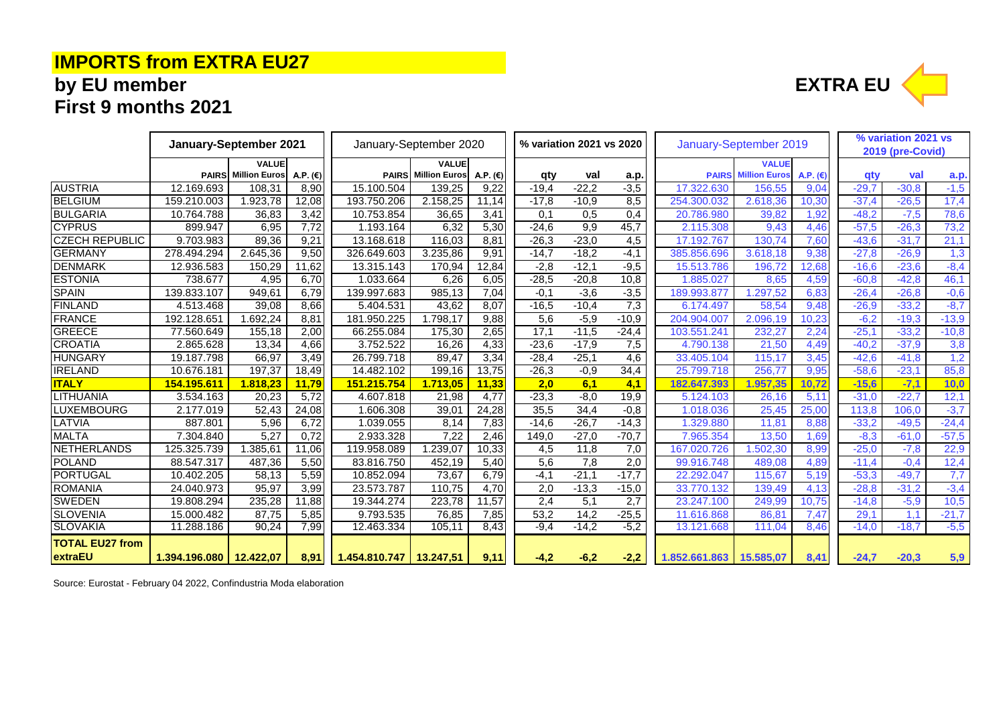# **IMPORTS from EXTRA EU27**

# **by EU member EXTRA EU First 9 months 2021**

|                        | January-September 2021    |                            |                   | January-September 2020    |                            |                   | % variation 2021 vs 2020 |         |         | January-September 2019 |                      | % variation 2021 vs<br>2019 (pre-Covid) |         |         |         |
|------------------------|---------------------------|----------------------------|-------------------|---------------------------|----------------------------|-------------------|--------------------------|---------|---------|------------------------|----------------------|-----------------------------------------|---------|---------|---------|
|                        |                           | VALUE                      |                   |                           | <b>VALUE</b>               |                   |                          |         |         |                        | <b>VALUE</b>         |                                         |         |         |         |
|                        |                           | <b>PAIRS</b> Million Euros | A.P. $(\epsilon)$ |                           | <b>PAIRS</b> Million Euros | A.P. $(\epsilon)$ | qty                      | val     | a.p.    | <b>PAIRS</b>           | <b>Million Euros</b> | A.P. $(E)$                              | qty     | val     | a.p.    |
| <b>AUSTRIA</b>         | 12.169.693                | 108,31                     | 8,90              | 15.100.504                | 139,25                     | 9,22              | $-19,4$                  | $-22.2$ | $-3,5$  | 17.322.630             | 156,55               | 9,04                                    | $-29,7$ | $-30,8$ | $-1,5$  |
| <b>BELGIUM</b>         | 159.210.003               | 1.923,78                   | 12,08             | 193.750.206               | 2.158,25                   | 11,14             | $-17,8$                  | $-10,9$ | 8,5     | 254.300.032            | 2.618,36             | 10,30                                   | $-37,4$ | $-26,5$ | 17,4    |
| <b>BULGARIA</b>        | 10.764.788                | 36,83                      | 3,42              | 10.753.854                | 36,65                      | 3,41              | 0,1                      | 0,5     | 0,4     | 20.786.980             | 39,82                | 1,92                                    | $-48,2$ | $-7,5$  | 78,6    |
| <b>CYPRUS</b>          | 899.947                   | 6,95                       | 7,72              | 1.193.164                 | 6,32                       | 5,30              | $-24,6$                  | 9,9     | 45,7    | 2.115.308              | 9,43                 | 4,46                                    | $-57,5$ | $-26,3$ | 73,2    |
| <b>CZECH REPUBLIC</b>  | 9.703.983                 | 89,36                      | 9,21              | 13.168.618                | 116,03                     | 8,81              | $-26,3$                  | $-23,0$ | 4,5     | 17.192.767             | 130.74               | 7,60                                    | $-43,6$ | $-31.7$ | 21,1    |
| <b>GERMANY</b>         | 278.494.294               | 2.645,36                   | 9,50              | 326.649.603               | 3.235,86                   | 9,91              | $-14,7$                  | $-18,2$ | $-4,1$  | 385.856.696            | 3.618,18             | 9,38                                    | $-27,8$ | $-26,9$ | 1,3     |
| <b>DENMARK</b>         | 12.936.583                | 150,29                     | 11,62             | 13.315.143                | 170,94                     | 12,84             | $-2,8$                   | $-12,1$ | $-9,5$  | 15.513.786             | 196,72               | 12,68                                   | $-16,6$ | $-23,6$ | $-8,4$  |
| <b>ESTONIA</b>         | 738.677                   | 4,95                       | 6,70              | 1.033.664                 | 6,26                       | 6,05              | $-28,5$                  | $-20,8$ | 10,8    | 1.885.027              | 8,65                 | 4,59                                    | $-60,8$ | $-42,8$ | 46,1    |
| <b>SPAIN</b>           | 139.833.107               | 949,61                     | 6,79              | 139.997.683               | 985,13                     | 7,04              | $-0,1$                   | $-3,6$  | $-3,5$  | 189.993.877            | .297,52              | 6,83                                    | $-26,4$ | $-26,8$ | $-0,6$  |
| <b>FINLAND</b>         | 4.513.468                 | 39,08                      | 8,66              | 5.404.531                 | 43,62                      | 8,07              | $-16,5$                  | $-10,4$ | 7,3     | 6.174.497              | 58,54                | 9,48                                    | $-26,9$ | $-33,2$ | $-8,7$  |
| <b>FRANCE</b>          | 192.128.651               | 1.692,24                   | 8,81              | 181.950.225               | 1.798,17                   | 9,88              | 5,6                      | $-5,9$  | $-10,9$ | 204.904.007            | 2.096,19             | 10.23                                   | $-6,2$  | $-19,3$ | $-13,9$ |
| <b>GREECE</b>          | 77.560.649                | 155,18                     | 2,00              | 66.255.084                | 175,30                     | 2,65              | 17,1                     | $-11,5$ | $-24,4$ | 103.551.241            | 232,27               | 2,24                                    | $-25,1$ | $-33,2$ | $-10,8$ |
| <b>CROATIA</b>         | 2.865.628                 | 13,34                      | 4,66              | 3.752.522                 | 16,26                      | 4,33              | $-23,6$                  | $-17,9$ | 7,5     | 4.790.138              | 21,50                | 4,49                                    | $-40,2$ | $-37,9$ | 3,8     |
| <b>HUNGARY</b>         | 19.187.798                | 66,97                      | 3,49              | 26.799.718                | 89.47                      | 3,34              | $-28,4$                  | $-25,1$ | 4,6     | 33.405.104             | 115.17               | 3,45                                    | $-42,6$ | $-41.8$ | 1,2     |
| <b>IRELAND</b>         | 10.676.181                | 197,37                     | 18,49             | 14.482.102                | 199.16                     | 13,75             | $-26.3$                  | $-0.9$  | 34,4    | 25.799.718             | 256.77               | 9,95                                    | $-58.6$ | $-23.1$ | 85,8    |
| <b>ITALY</b>           | 154.195.611               | 1.818,23                   | 11,79             | 151.215.754               | 1.713,05                   | 11,33             | 2,0                      | 6,1     | 4,1     | 182.647.393            | 1.957.35             | 10.72                                   | $-15.6$ | $-7.1$  | 10.0    |
| LITHUANIA              | 3.534.163                 | 20,23                      | 5,72              | 4.607.818                 | 21,98                      | 4,77              | $-23,3$                  | $-8,0$  | 19,9    | 5.124.103              | 26,16                | 5.11                                    | $-31,0$ | $-22.7$ | 12,1    |
| <b>LUXEMBOURG</b>      | 2.177.019                 | 52.43                      | 24,08             | 1.606.308                 | 39,01                      | 24,28             | 35,5                     | 34,4    | $-0,8$  | 1.018.036              | 25.45                | 25,00                                   | 113,8   | 106.0   | $-3,7$  |
| LATVIA                 | 887.801                   | 5,96                       | 6,72              | 1.039.055                 | 8.14                       | 7,83              | $-14,6$                  | $-26,7$ | $-14,3$ | 1.329.880              | 11.81                | 8.88                                    | $-33,2$ | $-49.5$ | $-24,4$ |
| <b>MALTA</b>           | 7.304.840                 | 5,27                       | 0.72              | 2.933.328                 | 7,22                       | 2,46              | 149.0                    | $-27,0$ | $-70.7$ | 7.965.354              | 13.50                | 1,69                                    | $-8,3$  | $-61.0$ | $-57,5$ |
| NETHERLANDS            | 125.325.739               | 1.385,61                   | 11,06             | 119.958.089               | .239,07                    | 10,33             | 4,5                      | 11,8    | 7,0     | 167.020.726            | .502, 30             | 8,99                                    | $-25,0$ | $-7,8$  | 22,9    |
| <b>POLAND</b>          | 88.547.317                | 487,36                     | 5,50              | 83.816.750                | 452.19                     | 5,40              | 5,6                      | 7,8     | 2,0     | 99.916.748             | 489.08               | 4,89                                    | $-11.4$ | $-0.4$  | 12,4    |
| PORTUGAL               | 10.402.205                | 58,13                      | 5,59              | 10.852.094                | 73.67                      | 6,79              | $-4.1$                   | $-21,1$ | $-17,7$ | 22.292.047             | 115.67               | 5,19                                    | $-53,3$ | $-49,7$ | 7,7     |
| <b>ROMANIA</b>         | 24.040.973                | 95,97                      | 3,99              | 23.573.787                | 110.75                     | 4,70              | 2,0                      | $-13.3$ | $-15,0$ | 33.770.132             | 139.49               | 4,13                                    | $-28.8$ | $-31.2$ | $-3,4$  |
| <b>SWEDEN</b>          | 19.808.294                | 235,28                     | 11,88             | 19.344.274                | 223,78                     | 11,57             | 2,4                      | 5,1     | 2,7     | 23.247.100             | 249,99               | 10.75                                   | $-14,8$ | $-5,9$  | 10,5    |
| <b>SLOVENIA</b>        | 15.000.482                | 87,75                      | 5,85              | 9.793.535                 | 76,85                      | 7,85              | 53,2                     | 14,2    | $-25,5$ | 11.616.868             | 86.81                | 7,47                                    | 29,1    | 1,1     | $-21,7$ |
| <b>SLOVAKIA</b>        | 11.288.186                | 90,24                      | 7,99              | 12.463.334                | 105,11                     | 8,43              | $-9,4$                   | $-14,2$ | $-5,2$  | 13.121.668             | 111,04               | 8.46                                    | $-14,0$ | $-18,7$ | $-5,5$  |
| <b>TOTAL EU27 from</b> |                           |                            |                   |                           |                            |                   |                          |         |         |                        |                      |                                         |         |         |         |
| extraEU                | 1.394.196.080   12.422.07 |                            | 8.91              | 1.454.810.747   13.247.51 |                            | 9,11              | $-4,2$                   | $-6,2$  | $-2,2$  | 1.852.661.863          | 15.585,07            | 8,41                                    | $-24.7$ | $-20,3$ | 5,9     |

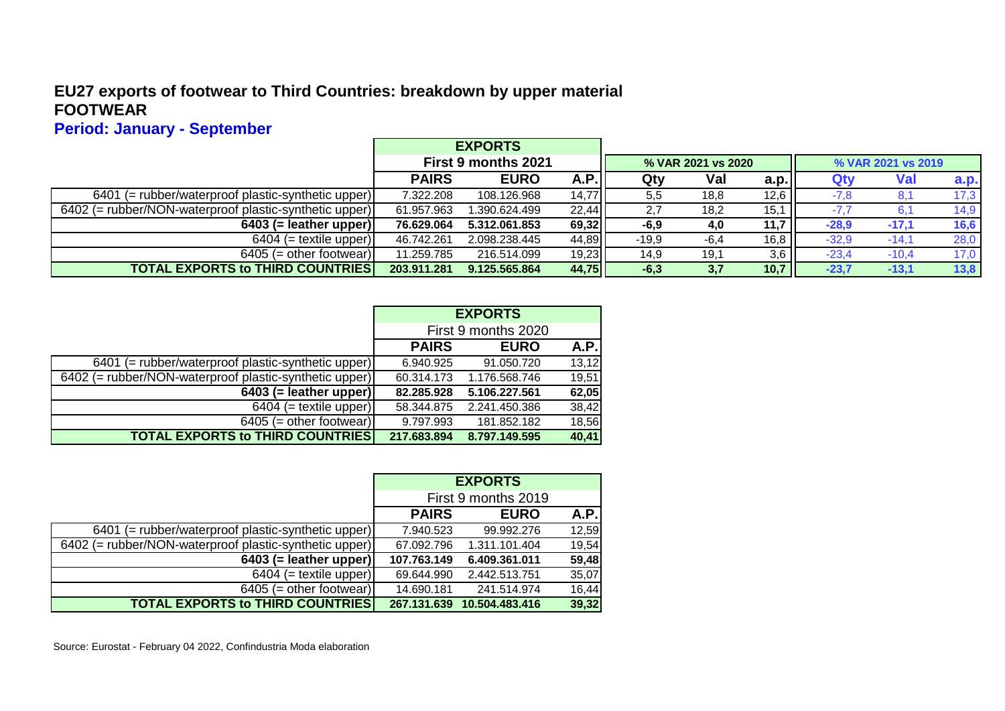#### **EU27 exports of footwear to Third Countries: breakdown by upper material FOOTWEAR**

## **Period: January - September**

|                                                        |              | <b>EXPORTS</b>      |       |         |                    |      |                    |         |             |  |
|--------------------------------------------------------|--------------|---------------------|-------|---------|--------------------|------|--------------------|---------|-------------|--|
|                                                        |              | First 9 months 2021 |       |         | % VAR 2021 vs 2020 |      | % VAR 2021 vs 2019 |         |             |  |
|                                                        | <b>PAIRS</b> | <b>EURO</b>         | A.P.  | Qty     | Val                | a.p. | Qty                | Val     | <b>a.p.</b> |  |
| $6401$ (= rubber/waterproof plastic-synthetic upper)   | 7.322.208    | 108.126.968         | 14,77 | 5,5     | 18,8               | 12,6 | $-7,8$             |         | 17,3        |  |
| 6402 (= rubber/NON-waterproof plastic-synthetic upper) | 61.957.963   | 1.390.624.499       | 22,44 | 2,7     | 18,2               | 15,1 |                    |         | 14,9        |  |
| $6403$ (= leather upper)                               | 76.629.064   | 5.312.061.853       | 69,32 | $-6,9$  | 4,0                | 11,7 | $-28.9$            | $-17,1$ | 16,6        |  |
| $6404$ (= textile upper)                               | 46.742.261   | 2.098.238.445       | 44,89 | $-19.9$ | $-6,4$             | 16,8 | $-32.9$            | $-14,1$ | 28,0        |  |
| $6405$ (= other footwear)                              | 11.259.785   | 216.514.099         | 19,23 | 14,9    | 19,1               | 3,6  | $-23,4$            | $-10,4$ | 17,0        |  |
| <b>TOTAL EXPORTS to THIRD COUNTRIES</b>                | 203.911.281  | 9.125.565.864       | 44,75 | $-6,3$  | 3,7                | 10,7 | $-23,7$            | $-13,1$ | 13,8        |  |

|                                                        | <b>EXPORTS</b>      |               |       |  |  |  |  |
|--------------------------------------------------------|---------------------|---------------|-------|--|--|--|--|
|                                                        | First 9 months 2020 |               |       |  |  |  |  |
|                                                        | <b>PAIRS</b>        | <b>EURO</b>   | A.P.  |  |  |  |  |
| $6401$ (= rubber/waterproof plastic-synthetic upper)   | 6.940.925           | 91.050.720    | 13,12 |  |  |  |  |
| 6402 (= rubber/NON-waterproof plastic-synthetic upper) | 60.314.173          | 1.176.568.746 | 19,51 |  |  |  |  |
| $6403$ (= leather upper)                               | 82.285.928          | 5.106.227.561 | 62,05 |  |  |  |  |
| $6404$ (= textile upper)                               | 58.344.875          | 2.241.450.386 | 38,42 |  |  |  |  |
| $6405$ (= other footwear)                              | 9.797.993           | 181.852.182   | 18,56 |  |  |  |  |
| <b>TOTAL EXPORTS to THIRD COUNTRIES</b>                | 217.683.894         | 8.797.149.595 | 40,41 |  |  |  |  |

|                                                        |                     | <b>EXPORTS</b>             |       |  |  |  |  |
|--------------------------------------------------------|---------------------|----------------------------|-------|--|--|--|--|
|                                                        | First 9 months 2019 |                            |       |  |  |  |  |
|                                                        | <b>PAIRS</b>        | <b>EURO</b>                | A.P.  |  |  |  |  |
| 6401 (= rubber/waterproof plastic-synthetic upper)     | 7.940.523           | 99.992.276                 | 12,59 |  |  |  |  |
| 6402 (= rubber/NON-waterproof plastic-synthetic upper) | 67.092.796          | 1.311.101.404              | 19,54 |  |  |  |  |
| $6403$ (= leather upper)                               | 107.763.149         | 6.409.361.011              | 59,48 |  |  |  |  |
| $6404$ (= textile upper)                               | 69.644.990          | 2.442.513.751              | 35,07 |  |  |  |  |
| $6405$ (= other footwear)                              | 14.690.181          | 241.514.974                | 16,44 |  |  |  |  |
| <b>TOTAL EXPORTS to THIRD COUNTRIES</b>                |                     | 267.131.639 10.504.483.416 | 39,32 |  |  |  |  |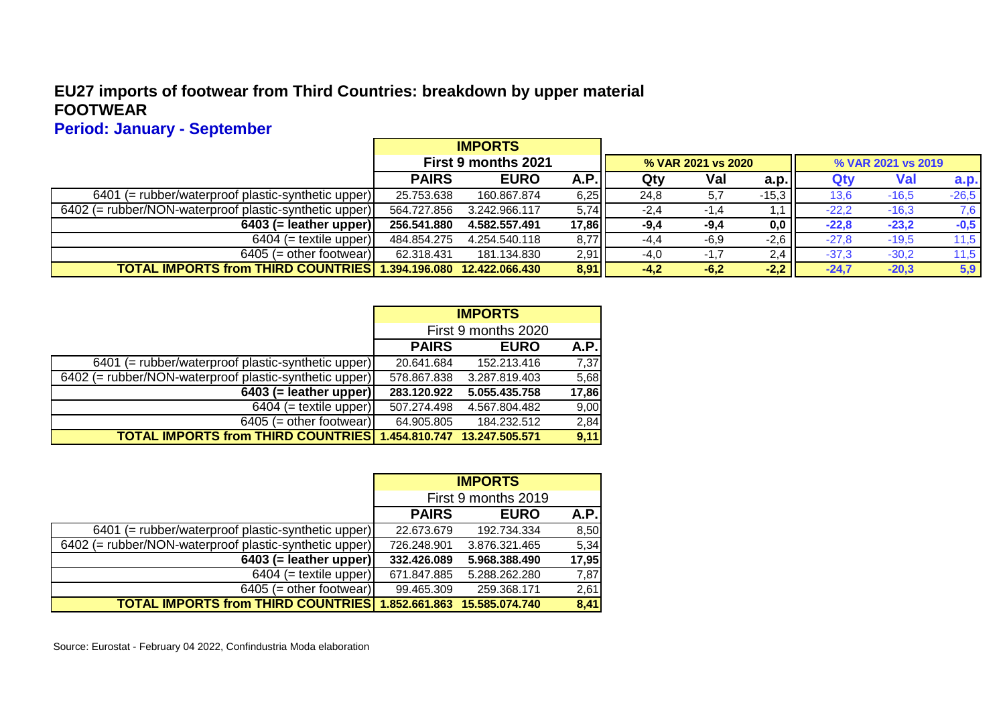#### **EU27 imports of footwear from Third Countries: breakdown by upper material FOOTWEAR**

## **Period: January - September**

|                                                                 |              | <b>IMPORTS</b>      |        |        |                    |         |                    |         |             |  |
|-----------------------------------------------------------------|--------------|---------------------|--------|--------|--------------------|---------|--------------------|---------|-------------|--|
|                                                                 |              | First 9 months 2021 |        |        | % VAR 2021 vs 2020 |         | % VAR 2021 vs 2019 |         |             |  |
|                                                                 | <b>PAIRS</b> | <b>EURO</b>         | A.P.   | Qty    | Val                | a.p.    | Qt۱                | Val     | <b>a.p.</b> |  |
| $6401$ (= rubber/waterproof plastic-synthetic upper)            | 25.753.638   | 160.867.874         | $6,25$ | 24,8   | 5,7                | $-15,3$ | 13,6               | $-16,5$ | $-26,5$     |  |
| 6402 (= rubber/NON-waterproof plastic-synthetic upper)          | 564.727.856  | 3.242.966.117       | 5,74   | $-2,4$ | $-1.4$             |         | $-22.2$            | $-16,3$ | 7,6         |  |
| $6403$ (= leather upper)                                        | 256.541.880  | 4.582.557.491       | 17,86  | $-9,4$ | $-9,4$             | 0,0     | $-22.8$            | $-23,2$ | $-0,5$      |  |
| $6404$ (= textile upper)                                        | 484.854.275  | 4.254.540.118       | 8,77   | $-4,4$ | $-6.9$             | $-2,6$  | $-27.8$            | $-19.5$ | 11,5        |  |
| $6405$ (= other footwear)                                       | 62.318.431   | 181.134.830         | 2,91   | $-4,0$ | $-1.7$             | 2,4     | $-37,3$            | $-30,2$ | 11,5        |  |
| TOTAL IMPORTS from THIRD COUNTRIES 1.394.196.080 12.422.066.430 |              |                     | 8,91   | $-4,2$ | $-6,2$             | $-2,2$  | $-24.7$            | $-20.3$ | 5,9         |  |

|                                                                 |                     | <b>IMPORTS</b> |       |
|-----------------------------------------------------------------|---------------------|----------------|-------|
|                                                                 | First 9 months 2020 |                |       |
|                                                                 | <b>PAIRS</b>        | <b>EURO</b>    | A.P.  |
| $6401$ (= rubber/waterproof plastic-synthetic upper)            | 20.641.684          | 152.213.416    | 7,37  |
| 6402 (= rubber/NON-waterproof plastic-synthetic upper)          | 578.867.838         | 3.287.819.403  | 5,68  |
| $6403$ (= leather upper)                                        | 283.120.922         | 5.055.435.758  | 17,86 |
| $6404$ (= textile upper)                                        | 507.274.498         | 4.567.804.482  | 9,00  |
| $6405$ (= other footwear)                                       | 64.905.805          | 184.232.512    | 2,84  |
| TOTAL IMPORTS from THIRD COUNTRIES 1.454.810.747 13.247.505.571 |                     |                | 9,11  |

|                                                        |                     | <b>IMPORTS</b>               |       |  |  |  |  |  |
|--------------------------------------------------------|---------------------|------------------------------|-------|--|--|--|--|--|
|                                                        | First 9 months 2019 |                              |       |  |  |  |  |  |
|                                                        | <b>PAIRS</b>        | <b>EURO</b>                  | A.P.  |  |  |  |  |  |
| 6401 (= rubber/waterproof plastic-synthetic upper)     | 22.673.679          | 192.734.334                  | 8,50  |  |  |  |  |  |
| 6402 (= rubber/NON-waterproof plastic-synthetic upper) | 726.248.901         | 3.876.321.465                | 5,34  |  |  |  |  |  |
| $6403$ (= leather upper)                               | 332.426.089         | 5.968.388.490                | 17,95 |  |  |  |  |  |
| $6404$ (= textile upper)                               | 671.847.885         | 5.288.262.280                | 7,87  |  |  |  |  |  |
| $6405$ (= other footwear)                              | 99.465.309          | 259.368.171                  | 2,61  |  |  |  |  |  |
| <b>TOTAL IMPORTS from THIRD COUNTRIES</b>              |                     | 1.852.661.863 15.585.074.740 | 8,41  |  |  |  |  |  |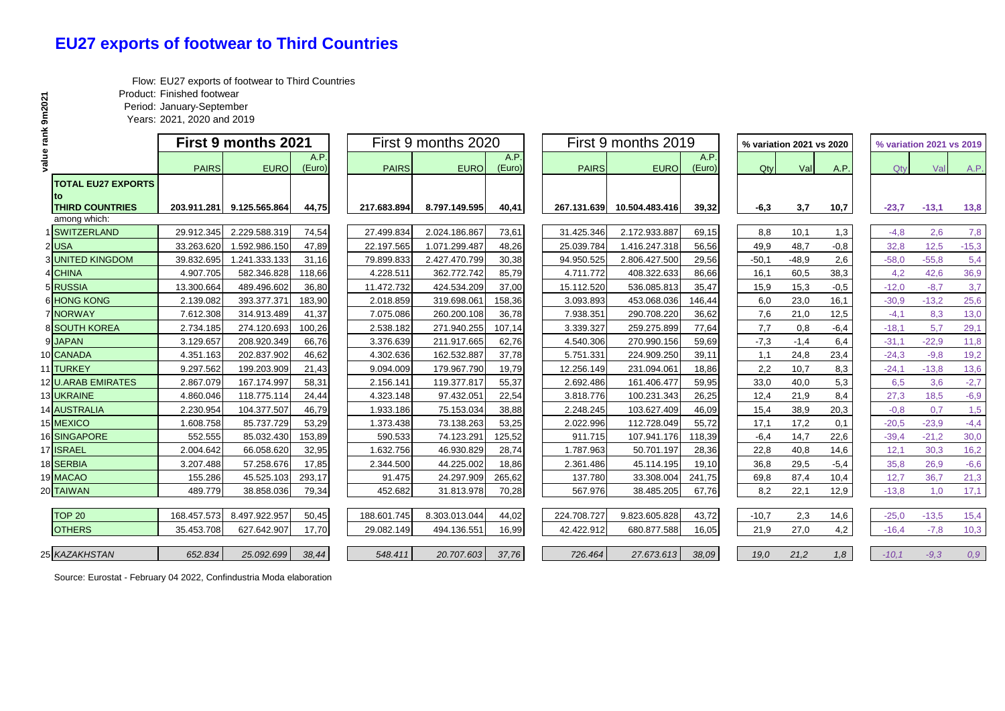#### **EU27 exports of footwear to Third Countries**

Flow: EU27 exports of footwear to Third Countries

Product: Finished footwear

Period: January-September

Years: 2021, 2020 and 2019

|                                        | <b>First 9 months 2021</b> |               |                |              | First 9 months 2020    |                |              | First 9 months 2019 |                |         | % variation 2021 vs 2020 |        |         | % variation 2021 vs 2019 |         |  |
|----------------------------------------|----------------------------|---------------|----------------|--------------|------------------------|----------------|--------------|---------------------|----------------|---------|--------------------------|--------|---------|--------------------------|---------|--|
| ā                                      | <b>PAIRS</b>               | <b>EURO</b>   | A.P.<br>(Euro) | <b>PAIRS</b> | <b>EURO</b>            | A.P.<br>(Euro) | <b>PAIRS</b> | <b>EURO</b>         | A.P.<br>(Euro) | Qty     | Val                      | A.P.   | $Q$ tv  | Val                      | A.P.    |  |
| <b>TOTAL EU27 EXPORTS</b>              |                            |               |                |              |                        |                |              |                     |                |         |                          |        |         |                          |         |  |
| <b>THIRD COUNTRIES</b><br>among which: | 203.911.281                | 9.125.565.864 | 44,75          | 217.683.894  | 8.797.149.595          | 40,41          | 267.131.639  | 10.504.483.416      | 39,32          | $-6,3$  | 3,7                      | 10,7   | $-23,7$ | $-13,1$                  | 13,8    |  |
| <b>SWITZERLAND</b>                     | 29.912.345                 | 2.229.588.319 | 74,54          | 27.499.834   | 2.024.186.867          | 73,61          | 31.425.346   | 2.172.933.887       | 69,15          | 8,8     | 10,1                     | 1,3    | $-4,8$  | 2,6                      | 7,8     |  |
| $2$ USA                                | 33.263.620                 | 1.592.986.150 | 47,89          | 22.197.565   | 1.071.299.487          | 48,26          | 25.039.784   | 1.416.247.318       | 56,56          | 49,9    | 48,7                     | $-0,8$ | 32,8    | 12,5                     | $-15,3$ |  |
| <b>3 UNITED KINGDOM</b>                | 39.832.695                 | 1.241.333.133 | 31,16          | 79.899.833   | 2.427.470.799          | 30,38          | 94.950.525   | 2.806.427.500       | 29,56          | $-50,1$ | $-48,9$                  | 2,6    | $-58,0$ | $-55.8$                  | 5,4     |  |
| 4 CHINA                                | 4.907.705                  | 582.346.828   | 118,66         | 4.228.511    | 362.772.742            | 85,79          | 4.711.772    | 408.322.633         | 86,66          | 16,1    | 60,5                     | 38,3   | 4,2     | 42,6                     | 36,9    |  |
| 5 RUSSIA                               | 13.300.664                 | 489.496.602   | 36,80          | 11.472.732   | 424.534.209            | 37,00          | 15.112.520   | 536.085.813         | 35,47          | 15,9    | 15,3                     | $-0,5$ | $-12,0$ | $-8,7$                   | 3,7     |  |
| <b>6 HONG KONG</b>                     | 2.139.082                  | 393.377.371   | 183,90         | 2.018.859    | 319.698.061            | 158,36         | 3.093.893    | 453.068.036         | 146,44         | 6,0     | 23,0                     | 16,1   | $-30.9$ | $-13,2$                  | 25,6    |  |
| <b>7 NORWAY</b>                        | 7.612.308                  | 314.913.489   | 41,37          | 7.075.086    | 260.200.108            | 36,78          | 7.938.351    | 290.708.220         | 36,62          | 7,6     | 21,0                     | 12,5   | $-4,1$  | 8,3                      | 13,0    |  |
| 8 SOUTH KOREA                          | 2.734.185                  | 274.120.693   | 100,26         | 2.538.182    | 271.940.255            | 107,14         | 3.339.327    | 259.275.899         | 77,64          | 7,7     | 0,8                      | $-6,4$ | $-18,1$ | 5,7                      | 29,1    |  |
| 9 JAPAN                                | 3.129.657                  | 208.920.349   | 66,76          | 3.376.639    | 211.917.665            | 62,76          | 4.540.306    | 270.990.156         | 59,69          | $-7,3$  | $-1,4$                   | 6,4    | $-31,1$ | $-22.9$                  | 11,8    |  |
| 10 CANADA                              | 4.351.163                  | 202.837.902   | 46,62          | 4.302.636    | 162.532.887            | 37,78          | 5.751.331    | 224.909.250         | 39,11          | 1,1     | 24,8                     | 23,4   | $-24.3$ | $-9,8$                   | 19,2    |  |
| 11 TURKEY                              | 9.297.562                  | 199.203.909   | 21,43          | 9.094.009    | 179.967.790            | 19,79          | 12.256.149   | 231.094.061         | 18,86          | 2,2     | 10,7                     | 8,3    | $-24,1$ | $-13.8$                  | 13,6    |  |
| 12 U.ARAB EMIRATES                     | 2.867.079                  | 167.174.997   | 58,31          | 2.156.141    | 119.377.817            | 55,37          | 2.692.486    | 161.406.477         | 59,95          | 33,0    | 40,0                     | 5,3    | 6,5     | 3,6                      | $-2,7$  |  |
| 13 UKRAINE                             | 4.860.046                  | 118.775.114   | 24,44          | 4.323.148    | 97.432.05              | 22,54          | 3.818.776    | 100.231.343         | 26,25          | 12,4    | 21,9                     | 8,4    | 27,3    | 18,5                     | $-6,9$  |  |
| 14 AUSTRALIA                           | 2.230.954                  | 104.377.507   | 46,79          | 1.933.186    | 75.153.034             | 38,88          | 2.248.245    | 103.627.409         | 46,09          | 15,4    | 38,9                     | 20,3   | $-0.8$  | 0,7                      | 1,5     |  |
| 15 MEXICO                              | 1.608.758                  | 85.737.729    | 53,29          | 1.373.438    | 73.138.263             | 53,25          | 2.022.996    | 112.728.049         | 55,72          | 17,1    | 17,2                     | 0,1    | $-20,5$ | $-23.9$                  | $-4,4$  |  |
| 16 SINGAPORE                           | 552.555                    | 85.032.430    | 153,89         | 590.533      | 74.123.29 <sup>-</sup> | 125,52         | 911.715      | 107.941.176         | 118,39         | $-6,4$  | 14,7                     | 22,6   | $-39,4$ | $-21,2$                  | 30,0    |  |
| 17 ISRAEL                              | 2.004.642                  | 66.058.620    | 32,95          | 1.632.756    | 46.930.829             | 28,74          | 1.787.963    | 50.701.197          | 28,36          | 22,8    | 40,8                     | 14,6   | 12,1    | 30,3                     | 16,2    |  |
| 18 SERBIA                              | 3.207.488                  | 57.258.676    | 17,85          | 2.344.500    | 44.225.002             | 18,86          | 2.361.486    | 45.114.195          | 19,10          | 36,8    | 29,5                     | $-5,4$ | 35,8    | 26,9                     | $-6,6$  |  |
| 19 MACAO                               | 155.286                    | 45.525.103    | 293,17         | 91.475       | 24.297.909             | 265,62         | 137.780      | 33.308.004          | 241,75         | 69,8    | 87,4                     | 10,4   | 12,7    | 36,7                     | 21,3    |  |
| 20 TAIWAN                              | 489.779                    | 38.858.036    | 79,34          | 452.682      | 31.813.978             | 70,28          | 567.976      | 38.485.205          | 67,76          | 8,2     | 22,1                     | 12,9   | $-13.8$ | 1,0                      | 17,1    |  |
|                                        |                            |               |                |              |                        |                |              |                     |                |         |                          |        |         |                          |         |  |
| <b>TOP 20</b>                          | 168.457.573                | 8.497.922.957 | 50,45          | 188.601.745  | 8.303.013.044          | 44,02          | 224.708.727  | 9.823.605.828       | 43,72          | $-10,7$ | 2,3                      | 14,6   | $-25,0$ | $-13,5$                  | 15,4    |  |
| <b>OTHERS</b>                          | 35.453.708                 | 627.642.907   | 17,70          | 29.082.149   | 494.136.551            | 16,99          | 42.422.912   | 680.877.588         | 16,05          | 21,9    | 27,0                     | 4,2    | $-16.4$ | $-7.8$                   | 10,3    |  |
| 25 KAZAKHSTAN                          | 652.834                    | 25.092.699    | 38,44          | 548.411      | 20.707.603             | 37,76          | 726.464      | 27.673.613          | 38,09          | 19,0    | 21,2                     | 1,8    | $-10,1$ | $-9.3$                   | 0,9     |  |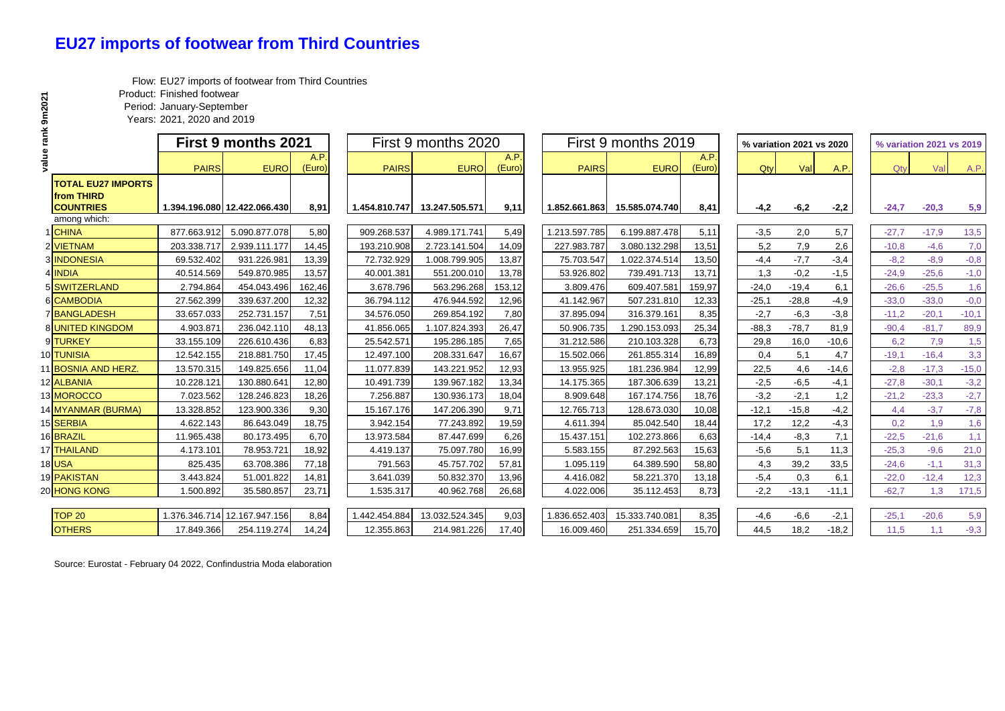## **EU27 imports of footwear from Third Countries**

Flow: EU27 imports of footwear from Third Countries

Product: Finished footwear

Period: January-September

Years: 2021, 2020 and 2019

|           |                                                             |              | <b>First 9 months 2021</b>   |                |               | First 9 months 2020 |                |               | First 9 months 2019 |                |         | % variation 2021 vs 2020 |         | % variation 2021 vs 2019 |         |         |  |
|-----------|-------------------------------------------------------------|--------------|------------------------------|----------------|---------------|---------------------|----------------|---------------|---------------------|----------------|---------|--------------------------|---------|--------------------------|---------|---------|--|
| value ran |                                                             | <b>PAIRS</b> | <b>EURO</b>                  | A.P.<br>(Euro) | <b>PAIRS</b>  | <b>EURO</b>         | A.P.<br>(Euro) | <b>PAIRS</b>  | <b>EURO</b>         | A.P.<br>(Euro) | Qty     | Val                      | A.P.    | Qtv                      | Val     | A.P.    |  |
|           | <b>TOTAL EU27 IMPORTS</b><br>from THIRD<br><b>COUNTRIES</b> |              | 1.394.196.080 12.422.066.430 | 8,91           | 1.454.810.747 | 13.247.505.571      | 9,11           | 1.852.661.863 | 15.585.074.740      | 8,41           | $-4,2$  | $-6,2$                   | $-2,2$  | $-24,7$                  | $-20,3$ | 5,9     |  |
|           | among which:                                                |              |                              |                |               |                     |                |               |                     |                |         |                          |         |                          |         |         |  |
|           | 1 CHINA                                                     | 877.663.912  | 5.090.877.078                | 5,80           | 909.268.537   | 4.989.171.741       | 5,49           | 1.213.597.785 | 6.199.887.478       | 5,11           | $-3,5$  | 2,0                      | 5,7     | $-27,7$                  | $-17,9$ | 13,5    |  |
|           | 2 VIETNAM                                                   | 203.338.71   | 2.939.111.177                | 14,45          | 193.210.908   | 2.723.141.504       | 14,09          | 227.983.787   | 3.080.132.298       | 13,51          | 5,2     | 7,9                      | 2,6     | $-10,8$                  | $-4,6$  | 7,0     |  |
|           | 3 INDONESIA                                                 | 69.532.402   | 931.226.981                  | 13,39          | 72.732.929    | 1.008.799.905       | 13,87          | 75.703.547    | 1.022.374.514       | 13,50          | $-4,4$  | $-7,7$                   | $-3,4$  | $-8,2$                   | $-8,9$  | $-0,8$  |  |
|           | 4 INDIA                                                     | 40.514.569   | 549.870.985                  | 13,57          | 40.001.381    | 551.200.010         | 13,78          | 53.926.802    | 739.491.713         | 13,71          | 1,3     | $-0,2$                   | $-1,5$  | $-24.9$                  | $-25,6$ | $-1,0$  |  |
|           | 5 SWITZERLAND                                               | 2.794.864    | 454.043.496                  | 162,46         | 3.678.796     | 563.296.268         | 153,12         | 3.809.476     | 609.407.581         | 159,97         | $-24,0$ | $-19,4$                  | 6,1     | $-26,6$                  | $-25,5$ | 1,6     |  |
|           | 6 CAMBODIA                                                  | 27.562.399   | 339.637.200                  | 12,32          | 36.794.112    | 476.944.592         | 12,96          | 41.142.967    | 507.231.810         | 12,33          | $-25,1$ | $-28,8$                  | $-4,9$  | $-33.0$                  | $-33.0$ | $-0,0$  |  |
|           | 7 BANGLADESH                                                | 33.657.033   | 252.731.157                  | 7,51           | 34.576.050    | 269.854.192         | 7,80           | 37.895.094    | 316.379.161         | 8,35           | $-2,7$  | $-6,3$                   | $-3,8$  | $-11,2$                  | $-20,1$ | $-10,1$ |  |
|           | 8 UNITED KINGDOM                                            | 4.903.871    | 236.042.110                  | 48,13          | 41.856.065    | 1.107.824.393       | 26,47          | 50.906.735    | 1.290.153.093       | 25,34          | $-88,3$ | $-78,7$                  | 81,9    | $-90,4$                  | $-81,7$ | 89,9    |  |
|           | 9 TURKEY                                                    | 33.155.109   | 226.610.436                  | 6,83           | 25.542.571    | 195.286.185         | 7,65           | 31.212.586    | 210.103.328         | 6,73           | 29,8    | 16,0                     | $-10,6$ | 6,2                      | 7,9     | 1,5     |  |
|           | 10 TUNISIA                                                  | 12.542.155   | 218.881.750                  | 17,45          | 12.497.100    | 208.331.647         | 16,67          | 15.502.066    | 261.855.314         | 16,89          | 0,4     | 5,1                      | 4,7     | $-19,1$                  | $-16,4$ | 3,3     |  |
|           | 11 BOSNIA AND HERZ.                                         | 13.570.315   | 149.825.656                  | 11,04          | 11.077.839    | 143.221.952         | 12,93          | 13.955.925    | 181.236.984         | 12,99          | 22,5    | 4,6                      | $-14,6$ | $-2,8$                   | $-17,3$ | $-15,0$ |  |
|           | 12 ALBANIA                                                  | 10.228.121   | 130.880.641                  | 12,80          | 10.491.739    | 139.967.182         | 13,34          | 14.175.365    | 187.306.639         | 13,21          | $-2,5$  | $-6,5$                   | $-4,1$  | $-27.8$                  | $-30,1$ | $-3,2$  |  |
|           | 13 MOROCCO                                                  | 7.023.562    | 128.246.823                  | 18,26          | 7.256.887     | 130.936.173         | 18,04          | 8.909.648     | 167.174.756         | 18,76          | $-3,2$  | $-2,1$                   | 1,2     | $-21,2$                  | $-23.3$ | $-2,7$  |  |
|           | 14 MYANMAR (BURMA)                                          | 13.328.852   | 123.900.336                  | 9,30           | 15.167.176    | 147.206.390         | 9,71           | 12.765.713    | 128.673.030         | 10,08          | $-12,1$ | $-15.8$                  | $-4,2$  | 4,4                      | $-3,7$  | $-7,8$  |  |
|           | 15 SERBIA                                                   | 4.622.143    | 86.643.049                   | 18,75          | 3.942.154     | 77.243.892          | 19,59          | 4.611.394     | 85.042.540          | 18,44          | 17,2    | 12,2                     | $-4,3$  | 0,2                      | 1,9     | 1,6     |  |
|           | 16 BRAZIL                                                   | 11.965.438   | 80.173.495                   | 6,70           | 13.973.584    | 87.447.699          | 6,26           | 15.437.151    | 102.273.866         | 6,63           | $-14,4$ | $-8,3$                   | 7,1     | $-22.5$                  | $-21,6$ | 1,1     |  |
|           | 17 THAILAND                                                 | 4.173.101    | 78.953.721                   | 18,92          | 4.419.137     | 75.097.780          | 16,99          | 5.583.155     | 87.292.563          | 15,63          | $-5,6$  | 5,1                      | 11,3    | $-25,3$                  | $-9,6$  | 21,0    |  |
| 18 USA    |                                                             | 825.435      | 63.708.386                   | 77,18          | 791.563       | 45.757.702          | 57,81          | 1.095.119     | 64.389.590          | 58,80          | 4,3     | 39,2                     | 33,5    | $-24,6$                  | $-1,1$  | 31,3    |  |
|           | 19 PAKISTAN                                                 | 3.443.824    | 51.001.822                   | 14,81          | 3.641.039     | 50.832.370          | 13,96          | 4.416.082     | 58.221.370          | 13,18          | $-5,4$  | 0,3                      | 6,1     | $-22,0$                  | $-12,4$ | 12,3    |  |
|           | 20 HONG KONG                                                | 1.500.892    | 35.580.857                   | 23,71          | 1.535.317     | 40.962.768          | 26,68          | 4.022.006     | 35.112.453          | 8,73           | $-2,2$  | $-13,1$                  | $-11,1$ | $-62,7$                  | 1,3     | 171,5   |  |
|           | <b>TOP 20</b>                                               |              | 1.376.346.714 12.167.947.156 | 8,84           | 1.442.454.884 | 13.032.524.345      | 9,03           | 1.836.652.403 | 15.333.740.081      | 8,35           | $-4,6$  | $-6,6$                   | $-2,1$  | $-25.1$                  | $-20,6$ | 5,9     |  |
|           | <b>OTHERS</b>                                               | 17.849.366   | 254.119.274                  | 14,24          | 12.355.863    | 214.981.226         | 17,40          | 16.009.460    | 251.334.659         | 15,70          | 44,5    | 18,2                     | $-18,2$ | 11,5                     | 1,1     | $-9,3$  |  |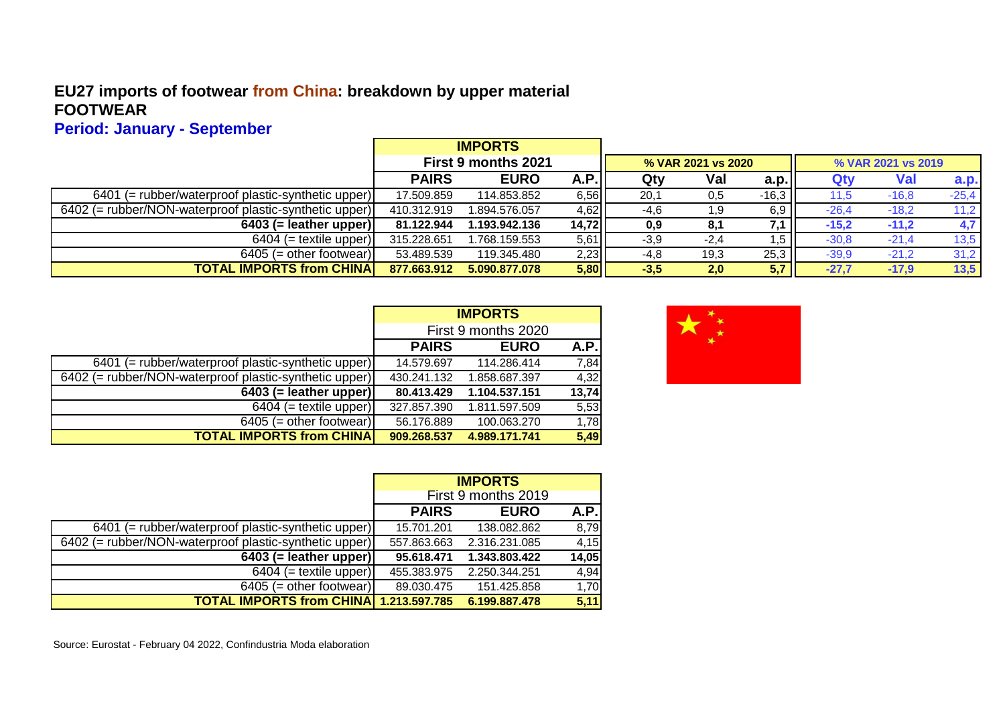#### **EU27 imports of footwear from China: breakdown by upper material FOOTWEAR**

**Period: January - September**

|                                                        |                     | <b>IMPORTS</b> |        |        |                    |         |         |                    |         |
|--------------------------------------------------------|---------------------|----------------|--------|--------|--------------------|---------|---------|--------------------|---------|
|                                                        | First 9 months 2021 |                |        |        | % VAR 2021 vs 2020 |         |         | % VAR 2021 vs 2019 |         |
|                                                        | <b>PAIRS</b>        | <b>EURO</b>    | A.P.   | Qty    | Val                | a.p.    | Qtv     | <b>Val</b>         | a.p.    |
| 6401 (= rubber/waterproof plastic-synthetic upper)     | 17.509.859          | 114.853.852    | 6,5611 | 20,1   | 0,5                | $-16,3$ | 11.5    | $-16,8$            | $-25,4$ |
| 6402 (= rubber/NON-waterproof plastic-synthetic upper) | 410.312.919         | 1.894.576.057  | $4,62$ | -4,6   | 1,9                | 6,9     | $-26,4$ | $-18.2$            | 11,2    |
| $6403$ (= leather upper)                               | 81.122.944          | 1.193.942.136  | 14,72  | 0,9    | 8,1                | 7,1     | $-15,2$ | $-11,2$            | 4,7     |
| $6404$ (= textile upper)                               | 315.228.651         | 1.768.159.553  | 5,61   | $-3,9$ | $-2,4$             | d, I    | $-30.8$ | $-21,4$            | 13,5    |
| $6405$ (= other footwear)                              | 53.489.539          | 119.345.480    | 2,23   | $-4,8$ | 19,3               | 25,3    | $-39.9$ | $-21,2$            | 31,2    |
| <b>TOTAL IMPORTS from CHINA</b>                        | 877.663.912         | 5.090.877.078  | 5,80   | $-3,5$ | 2,0                | 5,7     | $-27,7$ | $-17,9$            | 13,5    |

|                                                        | <b>IMPORTS</b>      |               |       |  |
|--------------------------------------------------------|---------------------|---------------|-------|--|
|                                                        | First 9 months 2020 |               |       |  |
|                                                        | <b>PAIRS</b>        | <b>EURO</b>   | A.P.  |  |
| $6401$ (= rubber/waterproof plastic-synthetic upper)   | 14.579.697          | 114.286.414   | 7,84  |  |
| 6402 (= rubber/NON-waterproof plastic-synthetic upper) | 430.241.132         | 1.858.687.397 | 4,32  |  |
| $6403$ (= leather upper)                               | 80.413.429          | 1.104.537.151 | 13,74 |  |
| $6404$ (= textile upper)                               | 327.857.390         | 1.811.597.509 | 5,53  |  |
| $6405$ (= other footwear)                              | 56.176.889          | 100.063.270   | 1,78  |  |
| <b>TOTAL IMPORTS from CHINA</b>                        | 909.268.537         | 4.989.171.741 | 5,49  |  |



|                                                        | <b>IMPORTS</b>      |               |       |  |
|--------------------------------------------------------|---------------------|---------------|-------|--|
|                                                        | First 9 months 2019 |               |       |  |
|                                                        | <b>PAIRS</b>        | <b>EURO</b>   | A.P.I |  |
| 6401 (= rubber/waterproof plastic-synthetic upper)     | 15.701.201          | 138.082.862   | 8,79  |  |
| 6402 (= rubber/NON-waterproof plastic-synthetic upper) | 557.863.663         | 2.316.231.085 | 4,15  |  |
| $6403$ (= leather upper)                               | 95.618.471          | 1.343.803.422 | 14,05 |  |
| $6404$ (= textile upper)                               | 455.383.975         | 2.250.344.251 | 4,94  |  |
| $6405$ (= other footwear)                              | 89.030.475          | 151.425.858   | 1,70  |  |
| <b>TOTAL IMPORTS from CHINA 1.213.597.785</b>          |                     | 6.199.887.478 | 5,11  |  |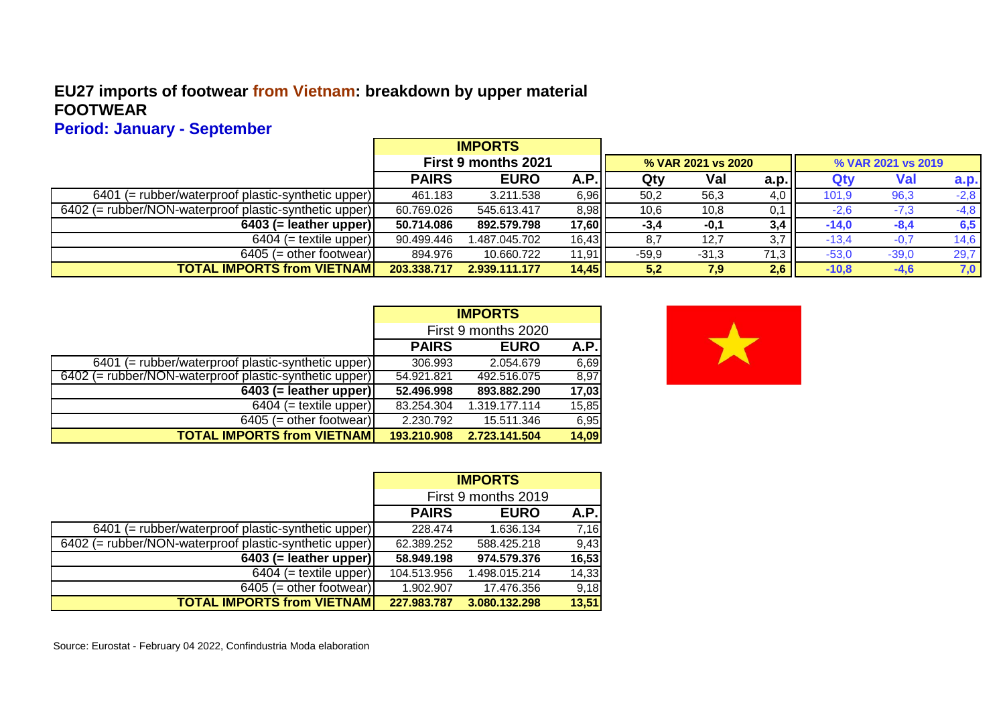#### **EU27 imports of footwear from Vietnam: breakdown by upper material FOOTWEAR**

**Period: January - September**

|                                                        |                            | <b>IMPORTS</b> |       |         |                    |      |         |                    |        |
|--------------------------------------------------------|----------------------------|----------------|-------|---------|--------------------|------|---------|--------------------|--------|
|                                                        | <b>First 9 months 2021</b> |                |       |         | % VAR 2021 vs 2020 |      |         | % VAR 2021 vs 2019 |        |
|                                                        | <b>PAIRS</b>               | <b>EURO</b>    | A.P.  | Qty     | Val                | a.p. | Qtv     | <b>Val</b>         | a.p.   |
| $6401$ (= rubber/waterproof plastic-synthetic upper)   | 461.183                    | 3.211.538      | 6,96  | 50,2    | 56,3               | 4,0  | 101,9   | 96,3               | $-2,8$ |
| 6402 (= rubber/NON-waterproof plastic-synthetic upper) | 60.769.026                 | 545.613.417    | 8,98  | 10,6    | 10.8               | 0,1  | $-2,6$  | $-7,3$             | $-4,8$ |
| $6403$ (= leather upper)                               | 50.714.086                 | 892.579.798    | 17,60 | $-3,4$  | -0,1               | 3,4  | $-14,0$ | $-8,4$             | 6,5    |
| $6404$ (= textile upper)                               | 90.499.446                 | 1.487.045.702  | 16,43 | 8,7     | 12.7               | 3,7  | $-13,4$ | $-0.7$             | 14,6   |
| $6405$ (= other footwear)                              | 894.976                    | 10.660.722     | 11,91 | $-59,9$ | $-31.3$            | 71,3 | $-53.0$ | $-39,0$            | 29,7   |
| <b>TOTAL IMPORTS from VIETNAM</b>                      | 203.338.717                | 2.939.111.177  | 14,45 | 5,2     | 7.9                | 2,6  | $-10,8$ | $-4,6$             | 7,0    |

|                                                        | <b>IMPORTS</b>      |               |       |
|--------------------------------------------------------|---------------------|---------------|-------|
|                                                        | First 9 months 2020 |               |       |
|                                                        | <b>PAIRS</b>        | <b>EURO</b>   | A.P.  |
| 6401 (= rubber/waterproof plastic-synthetic upper)     | 306.993             | 2.054.679     | 6,69  |
| 6402 (= rubber/NON-waterproof plastic-synthetic upper) | 54.921.821          | 492.516.075   | 8,97  |
| $6403$ (= leather upper)                               | 52.496.998          | 893.882.290   | 17,03 |
| $6404$ (= textile upper)                               | 83.254.304          | 1.319.177.114 | 15,85 |
| $6405$ (= other footwear)                              | 2.230.792           | 15.511.346    | 6,95  |
| <b>TOTAL IMPORTS from VIETNAM</b>                      | 193.210.908         | 2.723.141.504 | 14,09 |

|                                                        | <b>IMPORTS</b>      |               |       |
|--------------------------------------------------------|---------------------|---------------|-------|
|                                                        | First 9 months 2019 |               |       |
|                                                        | <b>PAIRS</b>        | <b>EURO</b>   | A.P.  |
| 6401 (= rubber/waterproof plastic-synthetic upper)     | 228.474             | 1.636.134     | 7,16  |
| 6402 (= rubber/NON-waterproof plastic-synthetic upper) | 62.389.252          | 588.425.218   | 9,43  |
| $6403$ (= leather upper)                               | 58.949.198          | 974.579.376   | 16,53 |
| $6404$ (= textile upper)                               | 104.513.956         | 1.498.015.214 | 14,33 |
| $6405$ (= other footwear)                              | 1.902.907           | 17.476.356    | 9,18  |
| <b>TOTAL IMPORTS from VIETNAM</b>                      | 227.983.787         | 3.080.132.298 | 13,51 |